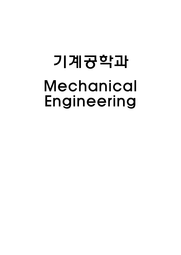## 기계공학과 Mechanical Engineering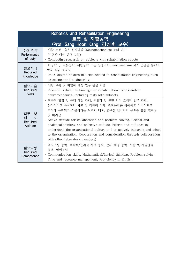| Robotics and Rehabilitation Engineering<br>로봇 및 재활공학 |                                                                                                                                                                                                                                                                                                                                                                                                                                                                                           |
|------------------------------------------------------|-------------------------------------------------------------------------------------------------------------------------------------------------------------------------------------------------------------------------------------------------------------------------------------------------------------------------------------------------------------------------------------------------------------------------------------------------------------------------------------------|
| (Prof. Sang Hoon Kang, 강상훈 교수)                       |                                                                                                                                                                                                                                                                                                                                                                                                                                                                                           |
| 수행 직무<br>Performance<br>of duty                      | - 재활 로봇 혹은 신경역학 (Neuromechanics) 등의 연구<br>(피험자 대상 연구 포함)<br>- Conducting research on subjects with rehabilitation robots                                                                                                                                                                                                                                                                                                                                                                  |
| 필요지식<br>Required<br>Knowledge                        | - 이공학 등 로봇공학, 재활공학 또는 신경역학(neuromechanics)과 연관된 분야의<br>박사 학위 소지자<br>- Ph.D. degree holders in fields related to rehabilitation engineering such<br>as science and engineering                                                                                                                                                                                                                                                                                                             |
| 필요기술<br>Required<br><b>Skills</b>                    | - 재활 로봇 및 피험자 대상 연구 관련 기술<br>- Research-related technology for rehabilitation robots and/or<br>neuromechanics, including tests with subjects                                                                                                                                                                                                                                                                                                                                              |
| 직무수행<br>태<br>- 도<br>Required<br>Attitude             | - 적극적 협업 및 문제 해결 자세, 책임감 및 안전 의식 고취의 업무 자세,<br>논리적이고 분석적인 사고 및 객관적 자세, 조직문화를 이해하고 적극적으로<br>조직에 융화되고 적응하려는 노력과 태도, 연구실 멤버와의 공조를 통한 협력심<br>및 배려심<br>- Active attitude for collaboration and problem solving, Logical and<br>analytical thinking and objective attitude, Efforts and attitudes to<br>understand the organizational culture and to actively integrate and adapt<br>to the organization, Cooperation and consideration through collaboration<br>with other laboratory members) |
| 필요역량<br>Required<br>Competence                       | - 의사소통 능력, 수학적/논리적 사고 능력, 문제 해결 능력, 시간 및 자원관리<br>능력, 영어능력<br>- Communication skills, Mathematical/Logical thinking, Problem solving,<br>Time and resource management, Proficiency in English                                                                                                                                                                                                                                                                                              |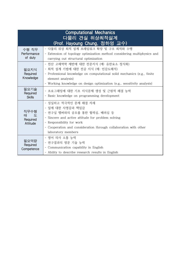| <b>Computational Mechanics</b><br><u>다물리 견실 위상최적설계</u><br>(Prof. Hayoung Chung, 정하영 교수) |                                                                                                                                                                                                                                                      |
|-----------------------------------------------------------------------------------------|------------------------------------------------------------------------------------------------------------------------------------------------------------------------------------------------------------------------------------------------------|
| 수행 직무<br>Performance<br>of duty                                                         | - 다물리 위상 최적 설계 프레임워크 확장 및 구조 최적화 수행<br>- Extension of topology optimization method considering multiphysics and<br>carrying out structural optimization                                                                                              |
| 필요지식<br>Required<br>Knowledge                                                           | - 전산 고체역학 제반에 대한 전문지식 (예: 유한요소 정식화)<br>- 최적 설계 기법에 대한 전공 지식 (예: 민감도해석)<br>- Professional knowledge on computational solid mechanics (e.g., finite<br>element analysis)<br>- Working knowledge on design optimization (e.g., sensitivity analysis)    |
| 필요기술<br>Required<br><b>Skills</b>                                                       | - 프로그래밍에 대한 기초 지식문제 생성 및 근원적 해결 능력<br>- Basic knowledge on programming development                                                                                                                                                                   |
| 직무수행<br>태<br>- 도<br>Required<br>Attitude                                                | - 성실하고 적극적인 문제 해결 자세<br>- 일에 대한 사명감과 책임감<br>- 연구실 멤버와의 공조를 통한 협력심, 배려심 등<br>- Sincere and active attitude for problem solving<br>- Responsibility for work<br>- Cooperation and consideration through collaboration with other<br>laboratory members |
| 필요역량<br>Required<br>Competence                                                          | - 영어 의사 소통 능력<br>- 연구결과의 영문 기술 능력<br>- Communication capability in English<br>- Ability to describe research results in English                                                                                                                      |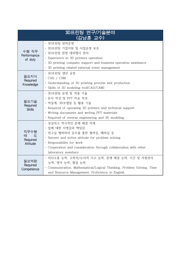| 3D프린팅 연구/기술분야<br>(김남훈 교수)              |                                                                                                                                                                                                                                                      |
|----------------------------------------|------------------------------------------------------------------------------------------------------------------------------------------------------------------------------------------------------------------------------------------------------|
| 수행 직무<br>Performance<br>of duty        | - 3D프린팅 장비운영<br>- 3D프린팅 기업지원 및 사업운영 보조<br>- 3D프린팅 관련 대외행사 관리<br>- Experience in 3D printers operation<br>- 3D printing company support and business operation assistance<br>- 3D printing related external event management                          |
| 필요지식<br>Required<br>Knowledge          | - 3D프린팅 생산 공정<br>- CAD / CAM<br>- Understanding of 3D printing process and production<br>- Skills of 3D modeling tool(CAD/CAM)                                                                                                                       |
| 필요기술<br>Required<br><b>Skills</b>      | - 3D프린팅 운영 및 적용 기술<br>- 문서 작성 및 PPT 자료 작성<br>- 역설계, 3D모델링 등 활용 기술<br>- Required of operating 3D printers and technical support<br>- Writing documents and writing PPT materials<br>- Required of reverse engineering and 3D modeling                 |
| 직무수행<br>태<br>도<br>Required<br>Attitude | - 성실하고 적극적인 문제 해결 자세<br>- 일에 대한 사명감과 책임감<br>- 연구실 멤버와의 공조를 통한 협력심, 배려심 등<br>- Sincere and active attitude for problem solving<br>- Responsibility for work<br>- Cooperation and consideration through collaboration with other<br>laboratory members |
| 필요역량<br>Required<br>Competence         | - 의사소통 능력, 수학적/논리적 사고 능력, 문제 해결 능력, 시간 및 자원관리<br>능력, 영어 능력, 협업 능력<br>- Communication, Mathematical/Logical Thinking, Problem Solving, Time<br>and Resource Management, Proficiency in English                                                        |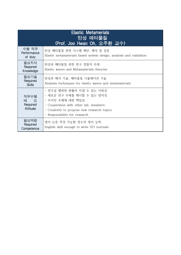| <b>Elastic Metamerials</b><br>탄성 메타물질<br>(Prof. Joo Hwan Oh, 오주환 교수) |                                                                                                                                                                                                     |
|----------------------------------------------------------------------|-----------------------------------------------------------------------------------------------------------------------------------------------------------------------------------------------------|
| 수행 직무<br>Performance<br>of duty                                      | 탄성 메타물질 관련 시스템 제안, 해석 및 검증<br>Elastic metamaterials based system design, analysis and validation                                                                                                    |
| 필요지식<br>Required<br>Knowledge                                        | 탄성과 메타물질 관련 연구 경험자 우대<br>Elastic waves and Metamaterials theories                                                                                                                                   |
| 필요기술<br>Required<br><b>Skills</b>                                    | 탄성과 해석 기술, 메타물질 시뮬레이션 기술<br>Analysis techniques for elastic waves and metamaterials                                                                                                                 |
| 직무수행<br>태 도<br>Required<br>Attitude                                  | - 연구실 멤버와 원활히 지낼 수 있는 사회성<br>- 새로운 연구 주제를 제시할 수 있는 창의성<br>- 주어진 주제에 대한 책임감<br>- Cooperation with other lab. members<br>- Creativity to propose new research topics<br>- Responsibility for research |
| 필요역량<br>Required<br>Competence                                       | 영어 논문 작성 가능할 정도의 영어 능력<br>English skill enough to write SCI journals                                                                                                                                |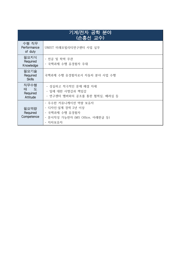| 기계/전자 공학 분야<br>(손흥선 교수)             |                                                                                                          |
|-------------------------------------|----------------------------------------------------------------------------------------------------------|
| 수행 직무<br>Performance<br>of duty     | UNIST 미래모빌리티연구센터 사업 실무                                                                                   |
| 필요지식<br>Required<br>Knowledge       | - 전공 및 학력 무관<br>- 국책과제 수행 유경험자 우대                                                                        |
| 필요기술<br>Required<br><b>Skills</b>   | 국책과제 수행 유경험자로서 자동차 분야 사업 수행                                                                              |
| 직무수행<br>태 도<br>Required<br>Attitude | - 성실하고 적극적인 문제 해결 자세<br>- 일에 대한 사명감과 책임감<br>- 연구센터 멤버와의 공조를 통한 협력심, 배려심 등                                |
| 필요역량<br>Required<br>Competence      | - 우수한 커뮤니케이션 역량 보유자<br>- 디자인·설계 경력 2년 이상<br>- 국책과제 수행 유경험자<br>- 문서작성 가능한자 (MS Office, 아래한글 등)<br>- 자차보유자 |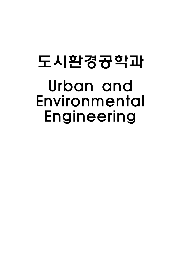#### 도시환경공학과 Urban and Environmental Engineering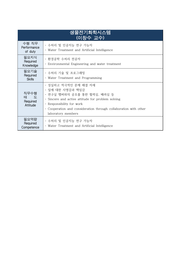| 생물전기화학시스템<br>(이창수 교수)               |                                                                                                                                                                                                                                                      |
|-------------------------------------|------------------------------------------------------------------------------------------------------------------------------------------------------------------------------------------------------------------------------------------------------|
| 수행 직무<br>Performance<br>of duty     | - 수처리 및 인공지능 연구 가능자<br>- Water Treatment and Artificial Intelligence                                                                                                                                                                                 |
| 필요지식<br>Required<br>Knowledge       | - 환경공학 수처리 전공자<br>- Environmental Engineering and water treatment                                                                                                                                                                                    |
| 필요기술<br>Required<br><b>Skills</b>   | - 수처리 기술 및 프로그래밍<br>- Water Treatment and Programming                                                                                                                                                                                                |
| 직무수행<br>태 도<br>Required<br>Attitude | - 성실하고 적극적인 문제 해결 자세<br>- 일에 대한 사명감과 책임감<br>- 연구실 멤버와의 공조를 통한 협력심, 배려심 등<br>- Sincere and active attitude for problem solving<br>- Responsibility for work<br>- Cooperation and consideration through collaboration with other<br>laboratory members |
| 필요역량<br>Required<br>Competence      | - 수처리 및 인공지능 연구 가능자<br>- Water Treatment and Artificial Intelligence                                                                                                                                                                                 |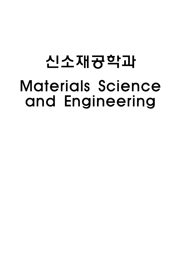## 신소재공학과 Materials Science and Engineering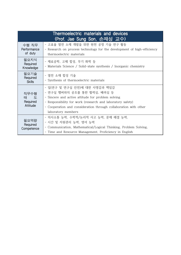| Thermoelectric materials and devices<br>(Prof. Jae Sung Son, 손재성 교수) |                                                                                                                                                                                                                                                                            |
|----------------------------------------------------------------------|----------------------------------------------------------------------------------------------------------------------------------------------------------------------------------------------------------------------------------------------------------------------------|
| 수행 직무<br>Performance<br>of duty                                      | - 고효율 열전 소재 개발을 위한 원천 공정 기술 연구 활동<br>- Research on process technology for the development of high-efficiency<br>thermoelectric materials                                                                                                                                   |
| 필요지식<br>Required<br>Knowledge                                        | - 재료공학, 고체 합성, 무기 화학 등<br>- Materials Science / Solid-state synthesis / Inorganic chemistry                                                                                                                                                                                |
| 필요기술<br>Required<br><b>Skills</b>                                    | - 열전 소재 합성 기술<br>- Synthesis of thermoelectric materials                                                                                                                                                                                                                   |
| 직무수행<br>태 도<br>Required<br>Attitude                                  | - 일(연구 및 연구실 안전)에 대한 사명감과 책임감<br>- 연구실 멤버와의 공조를 통한 협력심, 배려심 등<br>- Sincere and active attitude for problem solving<br>- Responsibility for work (research and laboratory safety)<br>- Cooperation and consideration through collaboration with other<br>laboratory members |
| 필요역량<br>Required<br>Competence                                       | - 의사소통 능력, 수학적/논리적 사고 능력, 문제 해결 능력,<br>- 시간 및 자원관리 능력, 영어 능력<br>- Communication, Mathematical/Logical Thinking, Problem Solving,<br>- Time and Resource Management, Proficiency in English                                                                                 |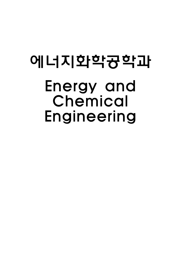#### 에너지화학공학과 Energy and Chemical Engineering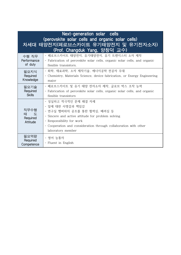| Next-generation solar cells<br>(perovskite solar cells and organic solar cells)<br>차세대 태양전지(페로브스카이트 유기태양전지 및 유기전자소자)<br>(Prof. Changduk Yang, 양창덕 교수) |                                                                                                                                                                                                                                                     |
|-------------------------------------------------------------------------------------------------------------------------------------------------------|-----------------------------------------------------------------------------------------------------------------------------------------------------------------------------------------------------------------------------------------------------|
| 수행 직무                                                                                                                                                 | - 페로브스카이트 태양전지, 유기태양전지, 유기 트렌지스터 소자 제작                                                                                                                                                                                                              |
| Performance                                                                                                                                           | - Fabrication of perovskite solar cells, organic solar cells, and organic                                                                                                                                                                           |
| of duty                                                                                                                                               | flexible transistors.                                                                                                                                                                                                                               |
| 필요지식                                                                                                                                                  | - 화학, 재료과학, 소자 제작기술, 에너지공학 전공자 우대                                                                                                                                                                                                                   |
| Required                                                                                                                                              | - Chemistry, Materials Science, device fabrication, or Energy Engineering                                                                                                                                                                           |
| Knowledge                                                                                                                                             | major                                                                                                                                                                                                                                               |
| 필요기술                                                                                                                                                  | - 페로브스카이트 및 유기 태양 전자소자 제작, 글로브 박스 조작 능력                                                                                                                                                                                                             |
| Required                                                                                                                                              | - Fabrication of perovskite solar cells, organic solar cells, and organic                                                                                                                                                                           |
| <b>Skills</b>                                                                                                                                         | flexible transistors                                                                                                                                                                                                                                |
| 직무수행<br>태 도<br>Required<br>Attitude                                                                                                                   | - 성실하고 적극적인 문제 해결 자세<br>- 일에 대한 사명감과 책임감<br>- 연구실 멤버와의 공조를 통한 협력심, 배려심 등<br>- Sincere and active attitude for problem solving<br>- Responsibility for work<br>- Cooperation and consideration through collaboration with other<br>laboratory member |
| 필요역량<br>Required<br>Competence                                                                                                                        | - 영어 능통자<br>- Fluent in English                                                                                                                                                                                                                     |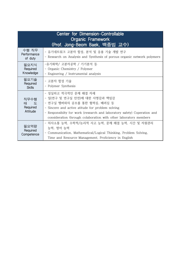| <b>Center for Dimension-Controllable</b><br><b>Organic Framework</b><br>(Prof. Jong-Beom Baek, 백종범 교수) |                                                                                                                                                                                                                                                                                           |  |
|--------------------------------------------------------------------------------------------------------|-------------------------------------------------------------------------------------------------------------------------------------------------------------------------------------------------------------------------------------------------------------------------------------------|--|
| 수행 직무<br>Performance<br>of duty                                                                        | - 유기네트워크 고분자 합성, 분석 및 응용 기술 개발 연구<br>- Research on Analysis and Synthesis of porous organic network polymers                                                                                                                                                                              |  |
| 필요지식<br>Required<br>Knowledge                                                                          | -유기화학/ 고분자공학 / 기기분석 등<br>- Organic Chemistry / Polymer<br>- Enginering / Instrumental analysis                                                                                                                                                                                            |  |
| 필요기술<br>Required<br><b>Skills</b>                                                                      | - 고분자 합성 기술<br>- Polymer Synthesis                                                                                                                                                                                                                                                        |  |
| 직무수행<br>태 도<br>Required<br>Attitude                                                                    | - 성실하고 적극적인 문제 해결 자세<br>- 일(연구 및 연구실 안전)에 대한 사명감과 책임감<br>- 연구실 멤버와의 공조를 통한 협력심, 배려심 등<br>- Sincere and active atitude for problem solving<br>- Responsibilty for work (research and laboratory safety) Coperation and<br>consideration through colaboration with other laboratory members |  |
| 필요역량<br>Required<br>Competence                                                                         | - 의사소통 능력, 수학적/논리적 사고 능력, 문제 해결 능력, 시간 및 자원관리<br>능력, 영어 능력<br>- Communication, Mathematical/Logical Thinking, Problem Solving,<br>Time and Resource Management, Proficiency in English                                                                                                    |  |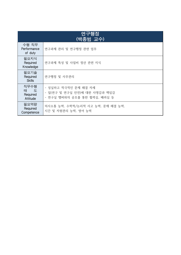| 연구행정<br>(백종범 교수)                    |                                                                                       |
|-------------------------------------|---------------------------------------------------------------------------------------|
| 수행 직무<br>Performance<br>of duty     | 연구과제 관리 및 연구행정 관련 업무                                                                  |
| 필요지식<br>Required<br>Knowledge       | 연구과제 특성 및 사업비 정산 관련 지식                                                                |
| 필요기술<br>Required<br><b>Skills</b>   | 연구행정 및 사무관리                                                                           |
| 직무수행<br>태 도<br>Required<br>Attitude | - 성실하고 적극적인 문제 해결 자세<br>- 일(연구 및 연구실 안전)에 대한 사명감과 책임감<br>- 연구실 멤버와의 공조를 통한 협력심, 배려심 등 |
| 필요역량<br>Required<br>Competence      | 의사소통 능력, 수학적/논리적 사고 능력, 문제 해결 능력,<br>시간 및 자원관리 능력, 영어 능력                              |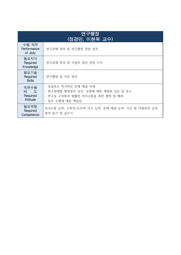| 연구행정<br>(정경민, 이현욱 교수)               |                                                                                                                   |
|-------------------------------------|-------------------------------------------------------------------------------------------------------------------|
| 수행 직무<br>Performance<br>of duty     | 연구과제 관리 및 연구행정 관련 업무                                                                                              |
| 필요지식<br>Required<br>Knowledge       | 연구과제 특성 및 사업비 정산 관련 지식                                                                                            |
| 필요기술<br>Required<br><b>Skills</b>   | 연구행정 및 사무 관리                                                                                                      |
| 직무수행<br>태 도<br>Required<br>Attitude | - 성실하고 적극적인 문제 해결 자세<br>- 연구과제별 행정업무 숙지, 규정에 대한 세밀한 검토 및 준수<br>- 연구실 구성원과 원활한 의사소통을 통한 협력 및 배려<br>- 업무 수행에 대한 책임감 |
| 필요역량<br>Required<br>Competence      | 의사소통 능력, 수학적/논리적 사고 능력, 문제 해결 능력, 시간 및 자원관리 능력,<br>영어 읽기 및 글쓰기                                                    |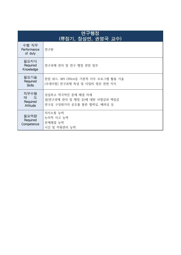| 연구행정<br>(류정기, 장성연, 권영국 교수)          |                                                                                     |
|-------------------------------------|-------------------------------------------------------------------------------------|
| 수행 직무<br>Performance<br>of duty     | 연구원                                                                                 |
| 필요지식<br>Required<br>Knowledge       | 연구과제 관리 및 연구 행정 관련 업무                                                               |
| 필요기술<br>Required<br><b>Skills</b>   | 한컴 워드, MS Office등 기본적 사무 프로그램 활용 기술<br>(우대사항) 연구과제 특성 및 사업비 정산 관련 지식                |
| 직무수행<br>태 도<br>Required<br>Attitude | 성실하고 적극적인 문제 해결 자세<br>일(연구과제 관리 및 행정 등)에 대한 사명감과 책임감<br>연구실 구성원가의 공조를 통한 협력심, 배려심 등 |
| 필요역량<br>Required<br>Competence      | 의사소통 능력<br>논리적 사고 능력<br>문제해결 능력<br>시간 및 자원관리 능력                                     |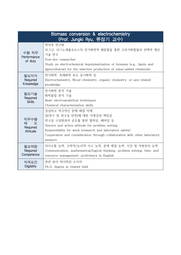| Biomass conversion & electrochemistry<br>(Prof. Jungki Ryu, 류정기 교수) |                                                                                                                                                                                                                                                                                        |
|---------------------------------------------------------------------|----------------------------------------------------------------------------------------------------------------------------------------------------------------------------------------------------------------------------------------------------------------------------------------|
| 수행 직무<br>Performance<br>of duty                                     | 박사후 연구원<br>리그닌, 리그노세룰로오스의 전기화학적 해중합을 통한 고부가화합물의 선택적 생산<br>기술 연구<br>Post-doc researcher<br>Study on electrochemical depolymerization of biomass (e.g., lignin and<br>lignocellulose) for the selective production of value-added chemicals                                              |
| 필요지식<br>Required<br>Knowledge                                       | 전기화학, 목재화학 또는 유기화학 등<br>Electrochemistry, Wood chemistry, organic chemistry, or any related<br>knowledge                                                                                                                                                                               |
| 필요기술<br>Required<br><b>Skills</b>                                   | 전기화학 분석 기술<br>화학물질 분석 기술<br>Basic electroanalytical techniques<br>Chemical characterization skills                                                                                                                                                                                     |
| 직무수행<br>태<br>도<br>Required<br>Attitude                              | 성실하고 적극적인 문제 해결 자세<br>일(연구 및 연구실 안전)에 대한 사명감과 책임감<br>연구실 구성원과의 공조를 통한 협력심, 배려심 등<br>Sincere and active attitude for problem solving<br>Responsibility for work (research and laboratory safety)<br>Cooperation and consideration through collaboration with other laboratory<br>memers |
| 필요역량<br>Required<br>Competence                                      | 의사소통 능력, 수학적/논리적 사고 능력, 문제 해결 능력, 시간 및 자원관리 능력<br>Communication, mathematical/logical thinking, problem solving, time, and<br>resource management, proficiency in English                                                                                                              |
| 자격요건<br>Eligibility                                                 | 관련 분야 박사학위 소지자<br>Ph.D. degree in related field                                                                                                                                                                                                                                        |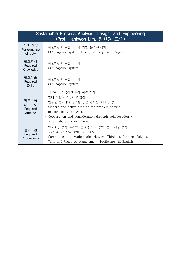| Sustainable Process Analysis, Design, and Engineering<br>(Prof. Hankwon Lim, 임한권 교수) |                                                                                                                                                                                                                                                      |
|--------------------------------------------------------------------------------------|------------------------------------------------------------------------------------------------------------------------------------------------------------------------------------------------------------------------------------------------------|
| 수행 직무<br>Performance<br>of duty                                                      | - 이산화탄소 포집 시스템 개발/운영/최적화<br>- CO2 capture system development/operation/optimization                                                                                                                                                                  |
| 필요지식<br>Required<br>Knowledge                                                        | - 이산화탄소 포집 시스템<br>- CO2 capture system                                                                                                                                                                                                               |
| 필요기술<br>Required<br><b>Skills</b>                                                    | - 이산화탄소 포집 시스템<br>- CO2 capture system                                                                                                                                                                                                               |
| 직무수행<br>태 도<br>Required<br>Attitude                                                  | - 성실하고 적극적인 문제 해결 자세<br>- 일에 대한 사명감과 책임감<br>- 연구실 멤버와의 공조를 통한 협력심, 배려심 등<br>- Sincere and active attitude for problem solving<br>- Responsibility for work<br>- Cooperation and consideration through collaboration with<br>other laboratory members |
| 필요역량<br>Required<br>Competence                                                       | - 의사소통 능력, 수학적/논리적 사고 능력, 문제 해결 능력,<br>시간 및 자원관리 능력, 영어 능력<br>- Communication, Mathematical/Logical Thinking, Problem Solving,<br>Time and Resource Management, Proficiency in English                                                               |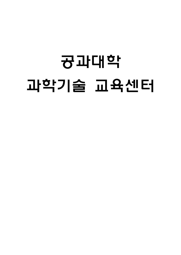# 공과대학 과학기술 교육센터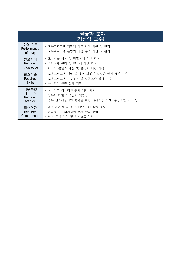| 교육공학 분야<br><u>(김성엽 교수)</u>          |                                                                                    |  |
|-------------------------------------|------------------------------------------------------------------------------------|--|
| 수행 직무<br>Performance<br>of duty     | - 교육프로그램 개발의 자료 제작 지원 및 관리<br>- 교육프로그램 운영의 과정 분석 지원 및 관리                           |  |
| 필요지식                                | - 교수학습 이론 및 방법론에 대한 지식                                                             |  |
| Required                            | - 수업설계 원리 및 절차에 대한 지식                                                              |  |
| Knowledge                           | - 이러닝 콘텐츠 개발 및 운영에 대한 지식                                                           |  |
| 필요기술                                | - 교육프로그램 개발 및 운영 과정에 필요한 양식 제작 기술                                                  |  |
| Required                            | - 교육프로그램 요구분석 및 설문조사 실시 기법                                                         |  |
| <b>Skills</b>                       | - 분석과정 관련 통계 기법                                                                    |  |
| 직무수행<br>태 도<br>Required<br>Attitude | - 성실하고 적극적인 문제 해결 자세<br>- 업무에 대한 사명감과 책임감<br>- 업무 관계자들과의 협업을 위한 의사소통 자세, 수용적인 태도 등 |  |
| 필요역량                                | - 문서 체계화 및 보고서(PPT 등) 작성 능력                                                        |  |
| Required                            | - 논리적이고 체계적인 문서 관리 능력                                                              |  |
| Competence                          | - 영어 문서 작성 및 의사소통 능력                                                               |  |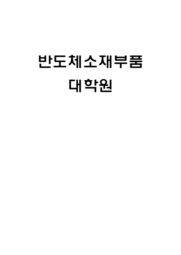# 반도체소재부품 대학원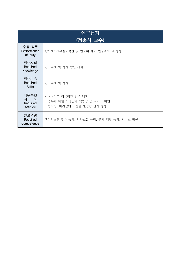| 연구행정<br>(정홍식 교수)                    |                                                                               |  |
|-------------------------------------|-------------------------------------------------------------------------------|--|
| 수행 직무<br>Performance<br>of duty     | 반도체소재부품대학원 및 반도체 센터 연구과제 및 행정                                                 |  |
| 필요지식<br>Required<br>Knowledge       | 연구과제 및 행정 관련 지식                                                               |  |
| 필요기술<br>Required<br><b>Skills</b>   | 연구과제 및 행정                                                                     |  |
| 직무수행<br>태 도<br>Required<br>Attitude | - 성실하고 적극적인 업무 태도<br>- 업무에 대한 사명감과 책임감 및 서비스 마인드<br>- 협력심, 배려심에 기반한 원만한 관계 형성 |  |
| 필요역량<br>Required<br>Competence      | 행정시스템 활용 능력, 의사소통 능력, 문제 해결 능력, 서비스 정신                                        |  |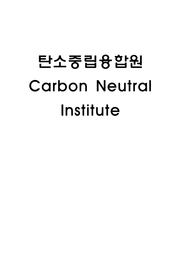# 탄소중립융합원 Carbon Neutral Institute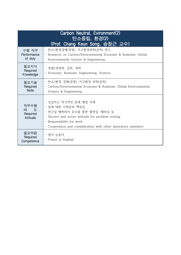| Carbon Neutral, Evironment(2)<br>탄소중립, 환경(2)<br>(Prof. Chang Keun Song, 송창근 교수) |                                                                                                                                                                                                                           |
|---------------------------------------------------------------------------------|---------------------------------------------------------------------------------------------------------------------------------------------------------------------------------------------------------------------------|
| 수행 직무<br>Performance<br>of duty                                                 | - 탄소/환경경제(경영), 지구환경과학(공학) 연구<br>- Research on Carbon/Environmental Economy & Business, Global<br>Environmental Science & Engineering                                                                                      |
| 필요지식<br>Required<br>Knowledge                                                   | - 경제/경영학, 공학, 과학<br>- Economy, Business, Engineering, Science                                                                                                                                                             |
| 필요기술<br>Required<br><b>Skills</b>                                               | - 탄소/환경 경제(경영), 지구환경 과학(공학)<br>- Carbon/Environmental Economy & Business, Global Environmental<br>Science & Engineering                                                                                                   |
| 직무수행<br>태 도<br>Required<br>Attitude                                             | - 성실하고 적극적인 문제 해결 자세<br>- 일에 대한 사명감과 책임감<br>- 연구실 멤버와의 공조를 통한 협력심, 배려심 등<br>- Sincere and active attitude for problem solving<br>- Responsibility for work<br>Cooperation and consideration with other laboratory members |
| 필요역량<br>Required<br>Competence                                                  | - 영어 능통자<br>- Fluent in English                                                                                                                                                                                           |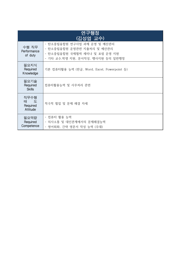| 연구행정<br>(김성엽 교수)                    |                                                                                                                                 |
|-------------------------------------|---------------------------------------------------------------------------------------------------------------------------------|
| 수행 직무<br>Performance<br>of duty     | - 탄소중립융합원 연구사업 과제 운영 및 예산관리<br>- 탄소중립융합원 운영관련 지출처리 및 예산관리<br>- 탄소중립융합원 국제협력 세미나 및 포럼 운영 지원<br>- 기타 교수.학생 지원, 문서작성, 행사지원 등의 일반행정 |
| 필요지식<br>Required<br>Knowledge       | 기본 컴퓨터활용 능력 (한글, Word, Excel, Powerpoint 등)                                                                                     |
| 필요기술<br>Required<br><b>Skills</b>   | 컴퓨터활용능력 및 사무처리 관련                                                                                                               |
| 직무수행<br>태 도<br>Required<br>Attitude | 적극적 협업 및 문제 해결 자세                                                                                                               |
| 필요역량<br>Required<br>Competence      | - 컴퓨터 활용 능력<br>- 의사소통 및 대인관계에서의 문제해결능력<br>- 영어회화, 간략 영문서 작성 능력 (우대)                                                             |